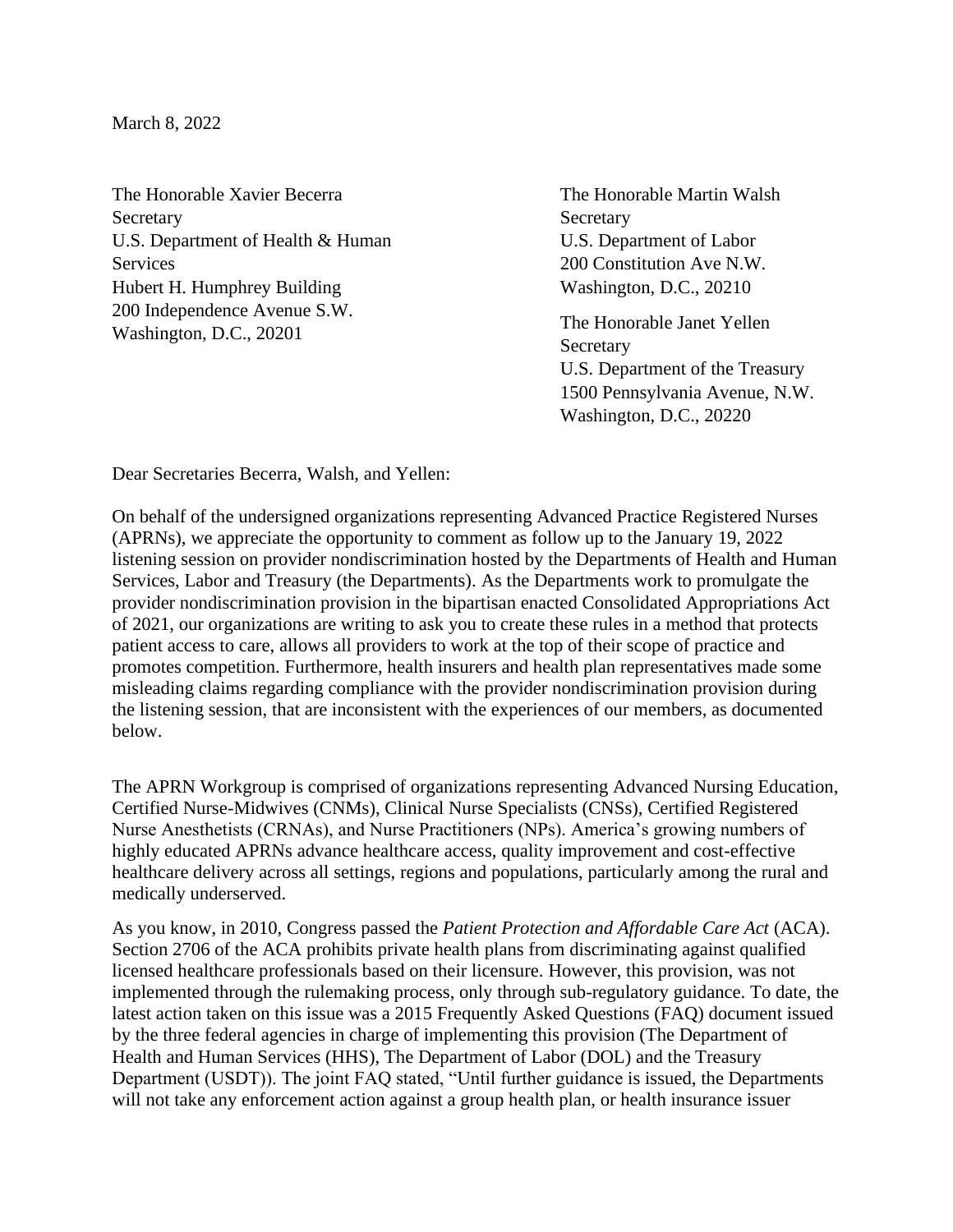March 8, 2022

The Honorable Xavier Becerra **Secretary** U.S. Department of Health & Human Services Hubert H. Humphrey Building 200 Independence Avenue S.W. Washington, D.C., 20201

The Honorable Martin Walsh **Secretary** U.S. Department of Labor 200 Constitution Ave N.W. Washington, D.C., 20210

The Honorable Janet Yellen **Secretary** U.S. Department of the Treasury 1500 Pennsylvania Avenue, N.W. Washington, D.C., 20220

Dear Secretaries Becerra, Walsh, and Yellen:

On behalf of the undersigned organizations representing Advanced Practice Registered Nurses (APRNs), we appreciate the opportunity to comment as follow up to the January 19, 2022 listening session on provider nondiscrimination hosted by the Departments of Health and Human Services, Labor and Treasury (the Departments). As the Departments work to promulgate the provider nondiscrimination provision in the bipartisan enacted Consolidated Appropriations Act of 2021, our organizations are writing to ask you to create these rules in a method that protects patient access to care, allows all providers to work at the top of their scope of practice and promotes competition. Furthermore, health insurers and health plan representatives made some misleading claims regarding compliance with the provider nondiscrimination provision during the listening session, that are inconsistent with the experiences of our members, as documented below.

The APRN Workgroup is comprised of organizations representing Advanced Nursing Education, Certified Nurse-Midwives (CNMs), Clinical Nurse Specialists (CNSs), Certified Registered Nurse Anesthetists (CRNAs), and Nurse Practitioners (NPs). America's growing numbers of highly educated APRNs advance healthcare access, quality improvement and cost-effective healthcare delivery across all settings, regions and populations, particularly among the rural and medically underserved.

As you know, in 2010, Congress passed the *Patient Protection and Affordable Care Act* (ACA). Section 2706 of the ACA prohibits private health plans from discriminating against qualified licensed healthcare professionals based on their licensure. However, this provision, was not implemented through the rulemaking process, only through sub-regulatory guidance. To date, the latest action taken on this issue was a 2015 Frequently Asked Questions (FAQ) document issued by the three federal agencies in charge of implementing this provision (The Department of Health and Human Services (HHS), The Department of Labor (DOL) and the Treasury Department (USDT)). The joint FAQ stated, "Until further guidance is issued, the Departments will not take any enforcement action against a group health plan, or health insurance issuer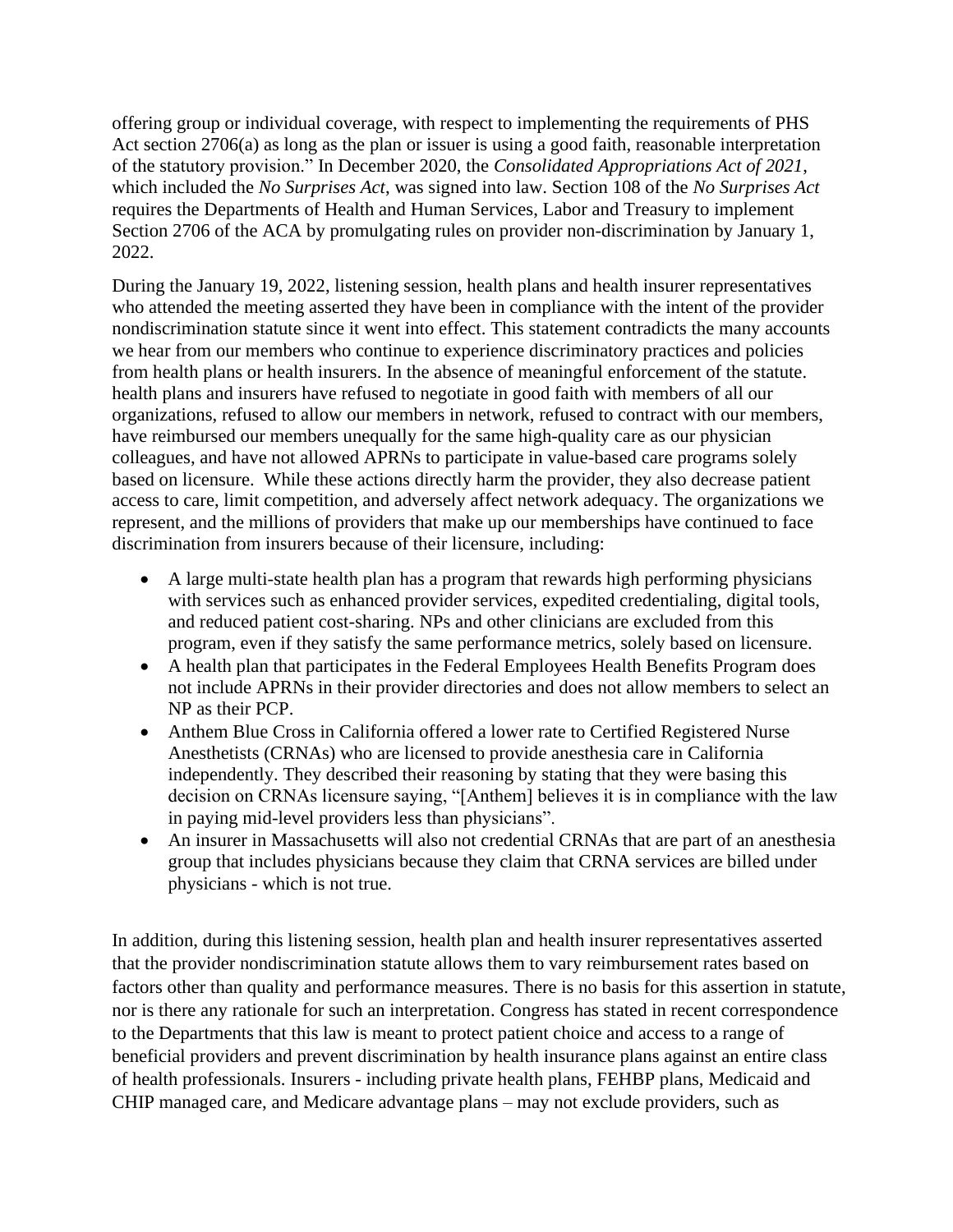offering group or individual coverage, with respect to implementing the requirements of PHS Act section 2706(a) as long as the plan or issuer is using a good faith, reasonable interpretation of the statutory provision." In December 2020, the *Consolidated Appropriations Act of 2021*, which included the *No Surprises Act*, was signed into law. Section 108 of the *No Surprises Act* requires the Departments of Health and Human Services, Labor and Treasury to implement Section 2706 of the ACA by promulgating rules on provider non-discrimination by January 1, 2022.

During the January 19, 2022, listening session, health plans and health insurer representatives who attended the meeting asserted they have been in compliance with the intent of the provider nondiscrimination statute since it went into effect. This statement contradicts the many accounts we hear from our members who continue to experience discriminatory practices and policies from health plans or health insurers. In the absence of meaningful enforcement of the statute. health plans and insurers have refused to negotiate in good faith with members of all our organizations, refused to allow our members in network, refused to contract with our members, have reimbursed our members unequally for the same high-quality care as our physician colleagues, and have not allowed APRNs to participate in value-based care programs solely based on licensure. While these actions directly harm the provider, they also decrease patient access to care, limit competition, and adversely affect network adequacy. The organizations we represent, and the millions of providers that make up our memberships have continued to face discrimination from insurers because of their licensure, including:

- A large multi-state health plan has a program that rewards high performing physicians with services such as enhanced provider services, expedited credentialing, digital tools, and reduced patient cost-sharing. NPs and other clinicians are excluded from this program, even if they satisfy the same performance metrics, solely based on licensure.
- A health plan that participates in the Federal Employees Health Benefits Program does not include APRNs in their provider directories and does not allow members to select an NP as their PCP.
- Anthem Blue Cross in California offered a lower rate to Certified Registered Nurse Anesthetists (CRNAs) who are licensed to provide anesthesia care in California independently. They described their reasoning by stating that they were basing this decision on CRNAs licensure saying, "[Anthem] believes it is in compliance with the law in paying mid-level providers less than physicians".
- An insurer in Massachusetts will also not credential CRNAs that are part of an anesthesia group that includes physicians because they claim that CRNA services are billed under physicians - which is not true.

In addition, during this listening session, health plan and health insurer representatives asserted that the provider nondiscrimination statute allows them to vary reimbursement rates based on factors other than quality and performance measures. There is no basis for this assertion in statute, nor is there any rationale for such an interpretation. Congress has stated in recent correspondence to the Departments that this law is meant to protect patient choice and access to a range of beneficial providers and prevent discrimination by health insurance plans against an entire class of health professionals. Insurers - including private health plans, FEHBP plans, Medicaid and CHIP managed care, and Medicare advantage plans – may not exclude providers, such as